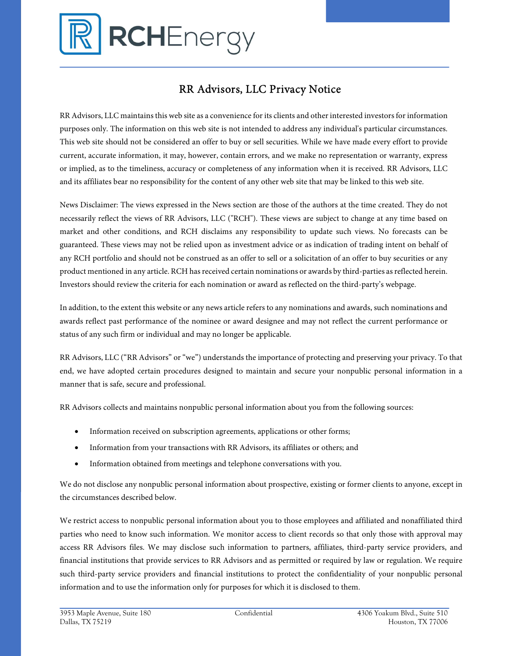

## RR Advisors, LLC Privacy Notice

RR Advisors, LLC maintains this web site as a convenience for its clients and other interested investors for information purposes only. The information on this web site is not intended to address any individual's particular circumstances. This web site should not be considered an offer to buy or sell securities. While we have made every effort to provide current, accurate information, it may, however, contain errors, and we make no representation or warranty, express or implied, as to the timeliness, accuracy or completeness of any information when it is received. RR Advisors, LLC and its affiliates bear no responsibility for the content of any other web site that may be linked to this web site.

News Disclaimer: The views expressed in the News section are those of the authors at the time created. They do not necessarily reflect the views of RR Advisors, LLC ("RCH"). These views are subject to change at any time based on market and other conditions, and RCH disclaims any responsibility to update such views. No forecasts can be guaranteed. These views may not be relied upon as investment advice or as indication of trading intent on behalf of any RCH portfolio and should not be construed as an offer to sell or a solicitation of an offer to buy securities or any product mentioned in any article. RCH has received certain nominations or awards by third-parties as reflected herein. Investors should review the criteria for each nomination or award as reflected on the third-party's webpage.

In addition, to the extent this website or any news article refers to any nominations and awards, such nominations and awards reflect past performance of the nominee or award designee and may not reflect the current performance or status of any such firm or individual and may no longer be applicable.

RR Advisors, LLC ("RR Advisors" or "we") understands the importance of protecting and preserving your privacy. To that end, we have adopted certain procedures designed to maintain and secure your nonpublic personal information in a manner that is safe, secure and professional.

RR Advisors collects and maintains nonpublic personal information about you from the following sources:

- Information received on subscription agreements, applications or other forms;
- Information from your transactions with RR Advisors, its affiliates or others; and
- Information obtained from meetings and telephone conversations with you.

We do not disclose any nonpublic personal information about prospective, existing or former clients to anyone, except in the circumstances described below.

We restrict access to nonpublic personal information about you to those employees and affiliated and nonaffiliated third parties who need to know such information. We monitor access to client records so that only those with approval may access RR Advisors files. We may disclose such information to partners, affiliates, third-party service providers, and financial institutions that provide services to RR Advisors and as permitted or required by law or regulation. We require such third-party service providers and financial institutions to protect the confidentiality of your nonpublic personal information and to use the information only for purposes for which it is disclosed to them.